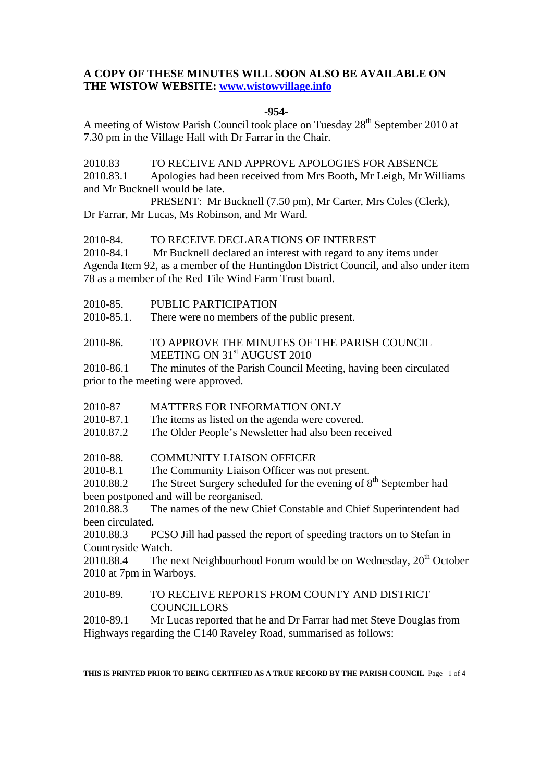# **A COPY OF THESE MINUTES WILL SOON ALSO BE AVAILABLE ON THE WISTOW WEBSITE: www.wistowvillage.info**

#### **-954-**

A meeting of Wistow Parish Council took place on Tuesday 28<sup>th</sup> September 2010 at 7.30 pm in the Village Hall with Dr Farrar in the Chair.

2010.83 TO RECEIVE AND APPROVE APOLOGIES FOR ABSENCE 2010.83.1 Apologies had been received from Mrs Booth, Mr Leigh, Mr Williams and Mr Bucknell would be late.

 PRESENT: Mr Bucknell (7.50 pm), Mr Carter, Mrs Coles (Clerk), Dr Farrar, Mr Lucas, Ms Robinson, and Mr Ward.

2010-84. TO RECEIVE DECLARATIONS OF INTEREST

2010-84.1 Mr Bucknell declared an interest with regard to any items under Agenda Item 92, as a member of the Huntingdon District Council, and also under item 78 as a member of the Red Tile Wind Farm Trust board.

2010-85. PUBLIC PARTICIPATION

2010-85.1. There were no members of the public present.

2010-86. TO APPROVE THE MINUTES OF THE PARISH COUNCIL MEETING ON 31<sup>st</sup> AUGUST 2010

2010-86.1 The minutes of the Parish Council Meeting, having been circulated prior to the meeting were approved.

- 2010-87 MATTERS FOR INFORMATION ONLY
- 2010-87.1 The items as listed on the agenda were covered.
- 2010.87.2 The Older People's Newsletter had also been received
- 2010-88. COMMUNITY LIAISON OFFICER

2010-8.1 The Community Liaison Officer was not present.

2010.88.2 The Street Surgery scheduled for the evening of  $8<sup>th</sup>$  September had been postponed and will be reorganised.

2010.88.3 The names of the new Chief Constable and Chief Superintendent had been circulated.

2010.88.3 PCSO Jill had passed the report of speeding tractors on to Stefan in Countryside Watch.

2010.88.4 The next Neighbourhood Forum would be on Wednesday,  $20^{th}$  October 2010 at 7pm in Warboys.

# 2010-89. TO RECEIVE REPORTS FROM COUNTY AND DISTRICT COUNCILLORS

2010-89.1 Mr Lucas reported that he and Dr Farrar had met Steve Douglas from Highways regarding the C140 Raveley Road, summarised as follows:

**THIS IS PRINTED PRIOR TO BEING CERTIFIED AS A TRUE RECORD BY THE PARISH COUNCIL** Page 1 of 4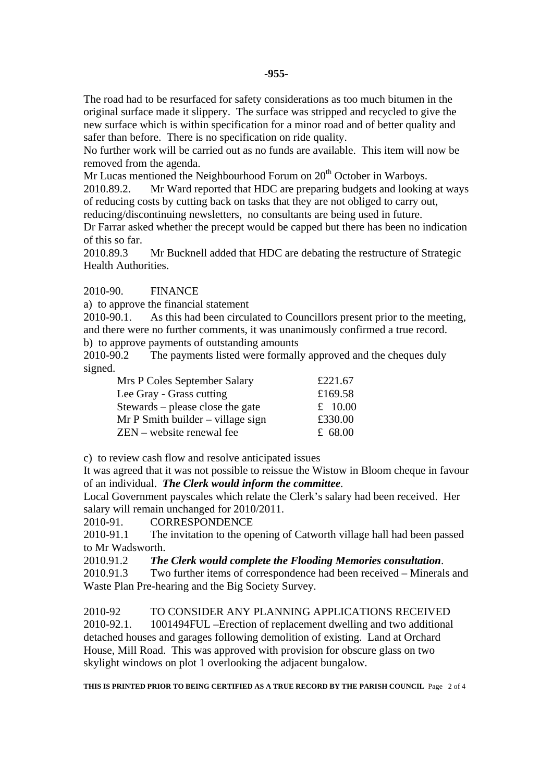The road had to be resurfaced for safety considerations as too much bitumen in the original surface made it slippery. The surface was stripped and recycled to give the new surface which is within specification for a minor road and of better quality and safer than before. There is no specification on ride quality.

No further work will be carried out as no funds are available. This item will now be removed from the agenda.

Mr Lucas mentioned the Neighbourhood Forum on  $20<sup>th</sup>$  October in Warboys.

2010.89.2. Mr Ward reported that HDC are preparing budgets and looking at ways of reducing costs by cutting back on tasks that they are not obliged to carry out, reducing/discontinuing newsletters, no consultants are being used in future.

Dr Farrar asked whether the precept would be capped but there has been no indication of this so far.

2010.89.3 Mr Bucknell added that HDC are debating the restructure of Strategic Health Authorities.

2010-90. FINANCE

a) to approve the financial statement

2010-90.1. As this had been circulated to Councillors present prior to the meeting, and there were no further comments, it was unanimously confirmed a true record. b) to approve payments of outstanding amounts

2010-90.2 The payments listed were formally approved and the cheques duly signed.

| Mrs P Coles September Salary         | £221.67   |
|--------------------------------------|-----------|
| Lee Gray - Grass cutting             | £169.58   |
| Stewards – please close the gate     | £ $10.00$ |
| $Mr P S$ mith builder – village sign | £330.00   |
| ZEN – website renewal fee            | £ $68.00$ |

c) to review cash flow and resolve anticipated issues

It was agreed that it was not possible to reissue the Wistow in Bloom cheque in favour of an individual. *The Clerk would inform the committee*.

Local Government payscales which relate the Clerk's salary had been received. Her salary will remain unchanged for 2010/2011.

2010-91. CORRESPONDENCE

2010-91.1 The invitation to the opening of Catworth village hall had been passed to Mr Wadsworth.

2010.91.2 *The Clerk would complete the Flooding Memories consultation*.

2010.91.3 Two further items of correspondence had been received – Minerals and Waste Plan Pre-hearing and the Big Society Survey.

2010-92 TO CONSIDER ANY PLANNING APPLICATIONS RECEIVED 2010-92.1. 1001494FUL –Erection of replacement dwelling and two additional detached houses and garages following demolition of existing. Land at Orchard House, Mill Road. This was approved with provision for obscure glass on two skylight windows on plot 1 overlooking the adjacent bungalow.

**THIS IS PRINTED PRIOR TO BEING CERTIFIED AS A TRUE RECORD BY THE PARISH COUNCIL** Page 2 of 4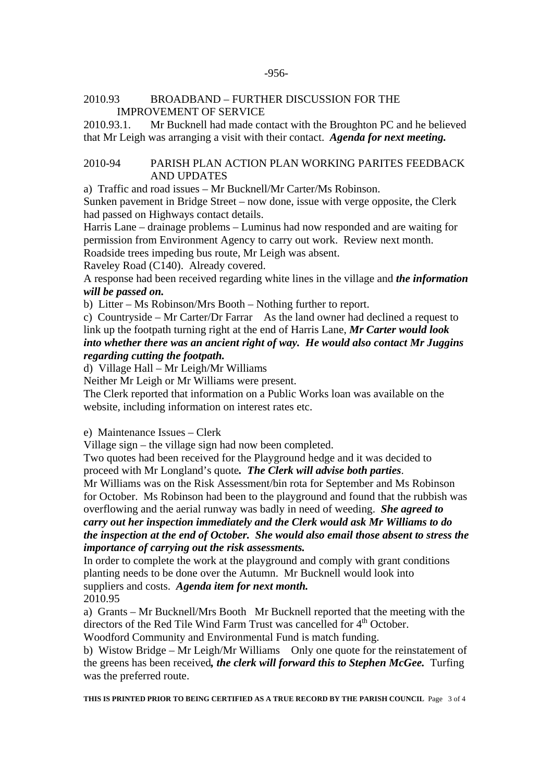#### -956-

#### 2010.93 BROADBAND – FURTHER DISCUSSION FOR THE IMPROVEMENT OF SERVICE

2010.93.1. Mr Bucknell had made contact with the Broughton PC and he believed that Mr Leigh was arranging a visit with their contact. *Agenda for next meeting.* 

## 2010-94 PARISH PLAN ACTION PLAN WORKING PARITES FEEDBACK AND UPDATES

a) Traffic and road issues – Mr Bucknell/Mr Carter/Ms Robinson.

Sunken pavement in Bridge Street – now done, issue with verge opposite, the Clerk had passed on Highways contact details.

Harris Lane – drainage problems – Luminus had now responded and are waiting for permission from Environment Agency to carry out work. Review next month. Roadside trees impeding bus route, Mr Leigh was absent.

Raveley Road (C140). Already covered.

A response had been received regarding white lines in the village and *the information will be passed on.* 

b) Litter – Ms Robinson/Mrs Booth – Nothing further to report.

c) Countryside – Mr Carter/Dr Farrar As the land owner had declined a request to link up the footpath turning right at the end of Harris Lane, *Mr Carter would look into whether there was an ancient right of way. He would also contact Mr Juggins regarding cutting the footpath.* 

d) Village Hall – Mr Leigh/Mr Williams

Neither Mr Leigh or Mr Williams were present.

The Clerk reported that information on a Public Works loan was available on the website, including information on interest rates etc.

e) Maintenance Issues – Clerk

Village sign – the village sign had now been completed.

Two quotes had been received for the Playground hedge and it was decided to proceed with Mr Longland's quote*. The Clerk will advise both parties*.

Mr Williams was on the Risk Assessment/bin rota for September and Ms Robinson for October. Ms Robinson had been to the playground and found that the rubbish was overflowing and the aerial runway was badly in need of weeding. *She agreed to carry out her inspection immediately and the Clerk would ask Mr Williams to do the inspection at the end of October. She would also email those absent to stress the importance of carrying out the risk assessments.* 

In order to complete the work at the playground and comply with grant conditions planting needs to be done over the Autumn. Mr Bucknell would look into suppliers and costs. *Agenda item for next month.* 2010.95

a) Grants – Mr Bucknell/Mrs Booth Mr Bucknell reported that the meeting with the directors of the Red Tile Wind Farm Trust was cancelled for 4<sup>th</sup> October.

Woodford Community and Environmental Fund is match funding.

b) Wistow Bridge – Mr Leigh/Mr Williams Only one quote for the reinstatement of the greens has been received*, the clerk will forward this to Stephen McGee.* Turfing was the preferred route.

**THIS IS PRINTED PRIOR TO BEING CERTIFIED AS A TRUE RECORD BY THE PARISH COUNCIL** Page 3 of 4